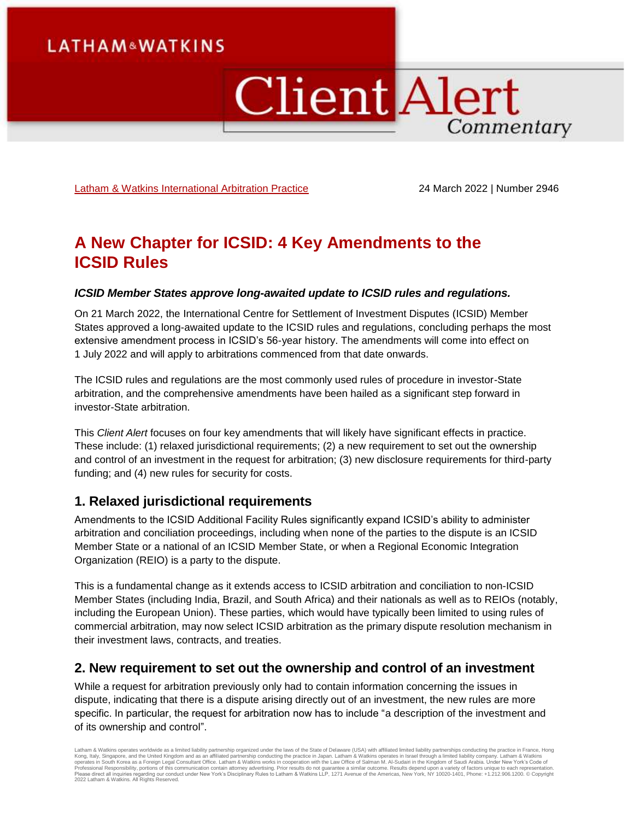# **LATHAM&WATKINS**

# **Client Alert** Commentary

[Latham & Watkins International Arbitration Practice](https://www.lw.com/practices/InternationalArbitration) 24 March 2022 | Number 2946

# **A New Chapter for ICSID: 4 Key Amendments to the ICSID Rules**

#### *ICSID Member States approve long-awaited update to ICSID rules and regulations.*

On 21 March 2022, the International Centre for Settlement of Investment Disputes (ICSID) Member States approved a long-awaited update to the ICSID rules and regulations, concluding perhaps the most extensive amendment process in ICSID's 56-year history. The amendments will come into effect on 1 July 2022 and will apply to arbitrations commenced from that date onwards.

The ICSID rules and regulations are the most commonly used rules of procedure in investor-State arbitration, and the comprehensive amendments have been hailed as a significant step forward in investor-State arbitration.

This *Client Alert* focuses on four key amendments that will likely have significant effects in practice. These include: (1) relaxed jurisdictional requirements; (2) a new requirement to set out the ownership and control of an investment in the request for arbitration; (3) new disclosure requirements for third-party funding; and (4) new rules for security for costs.

### **1. Relaxed jurisdictional requirements**

Amendments to the ICSID Additional Facility Rules significantly expand ICSID's ability to administer arbitration and conciliation proceedings, including when none of the parties to the dispute is an ICSID Member State or a national of an ICSID Member State, or when a Regional Economic Integration Organization (REIO) is a party to the dispute.

This is a fundamental change as it extends access to ICSID arbitration and conciliation to non-ICSID Member States (including India, Brazil, and South Africa) and their nationals as well as to REIOs (notably, including the European Union). These parties, which would have typically been limited to using rules of commercial arbitration, may now select ICSID arbitration as the primary dispute resolution mechanism in their investment laws, contracts, and treaties.

### **2. New requirement to set out the ownership and control of an investment**

While a request for arbitration previously only had to contain information concerning the issues in dispute, indicating that there is a dispute arising directly out of an investment, the new rules are more specific. In particular, the request for arbitration now has to include "a description of the investment and of its ownership and control".

Latham & Watkins operates worldwide as a limited liability partnership organized under the laws of the State of Delaware (USA) with affiliated limited liability partnerships conducting the practice in France, Hong Kong, Italy, Singapore, and the United Kingdom and as an affiliated partnership conducting the practice in Japan. Latham & Watkins operates in Israel through a limited liablitly company. Latham & Watkins<br>operates in South 2022 Latham & Watkins. All Rights Reserved.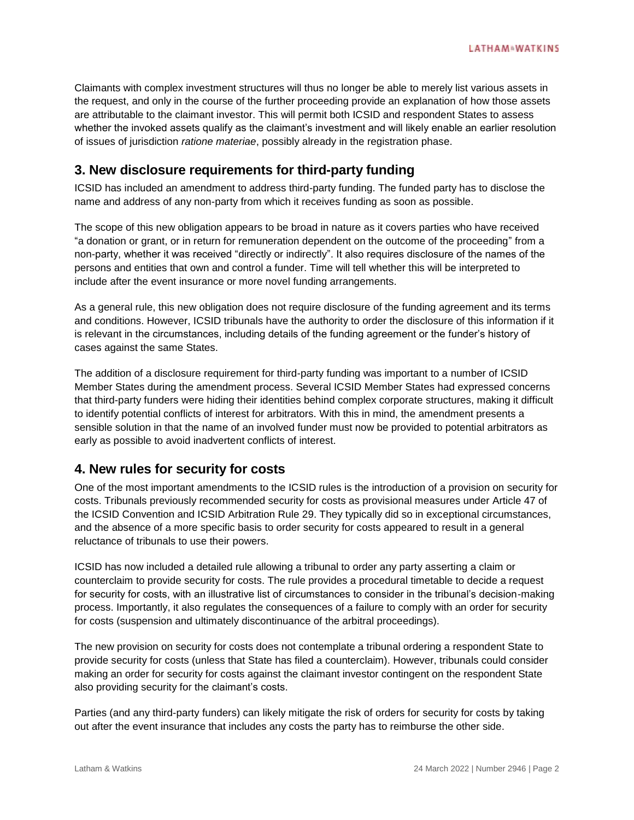Claimants with complex investment structures will thus no longer be able to merely list various assets in the request, and only in the course of the further proceeding provide an explanation of how those assets are attributable to the claimant investor. This will permit both ICSID and respondent States to assess whether the invoked assets qualify as the claimant's investment and will likely enable an earlier resolution of issues of jurisdiction *ratione materiae*, possibly already in the registration phase.

## **3. New disclosure requirements for third-party funding**

ICSID has included an amendment to address third-party funding. The funded party has to disclose the name and address of any non-party from which it receives funding as soon as possible.

The scope of this new obligation appears to be broad in nature as it covers parties who have received "a donation or grant, or in return for remuneration dependent on the outcome of the proceeding" from a non-party, whether it was received "directly or indirectly". It also requires disclosure of the names of the persons and entities that own and control a funder. Time will tell whether this will be interpreted to include after the event insurance or more novel funding arrangements.

As a general rule, this new obligation does not require disclosure of the funding agreement and its terms and conditions. However, ICSID tribunals have the authority to order the disclosure of this information if it is relevant in the circumstances, including details of the funding agreement or the funder's history of cases against the same States.

The addition of a disclosure requirement for third-party funding was important to a number of ICSID Member States during the amendment process. Several ICSID Member States had expressed concerns that third-party funders were hiding their identities behind complex corporate structures, making it difficult to identify potential conflicts of interest for arbitrators. With this in mind, the amendment presents a sensible solution in that the name of an involved funder must now be provided to potential arbitrators as early as possible to avoid inadvertent conflicts of interest.

## **4. New rules for security for costs**

One of the most important amendments to the ICSID rules is the introduction of a provision on security for costs. Tribunals previously recommended security for costs as provisional measures under Article 47 of the ICSID Convention and ICSID Arbitration Rule 29. They typically did so in exceptional circumstances, and the absence of a more specific basis to order security for costs appeared to result in a general reluctance of tribunals to use their powers.

ICSID has now included a detailed rule allowing a tribunal to order any party asserting a claim or counterclaim to provide security for costs. The rule provides a procedural timetable to decide a request for security for costs, with an illustrative list of circumstances to consider in the tribunal's decision-making process. Importantly, it also regulates the consequences of a failure to comply with an order for security for costs (suspension and ultimately discontinuance of the arbitral proceedings).

The new provision on security for costs does not contemplate a tribunal ordering a respondent State to provide security for costs (unless that State has filed a counterclaim). However, tribunals could consider making an order for security for costs against the claimant investor contingent on the respondent State also providing security for the claimant's costs.

Parties (and any third-party funders) can likely mitigate the risk of orders for security for costs by taking out after the event insurance that includes any costs the party has to reimburse the other side.